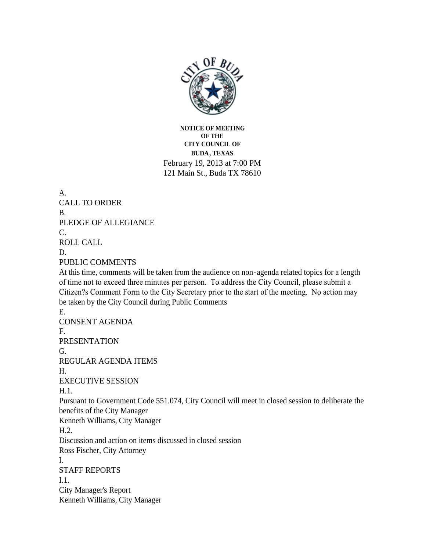

**NOTICE OF MEETING OF THE CITY COUNCIL OF BUDA, TEXAS** February 19, 2013 at 7:00 PM 121 Main St., Buda TX 78610

A. CALL TO ORDER B. PLEDGE OF ALLEGIANCE C. ROLL CALL D. PUBLIC COMMENTS At this time, comments will be taken from the audience on non-agenda related topics for a length of time not to exceed three minutes per person. To address the City Council, please submit a Citizen?s Comment Form to the City Secretary prior to the start of the meeting. No action may be taken by the City Council during Public Comments E. CONSENT AGENDA F. PRESENTATION G. REGULAR AGENDA ITEMS H. EXECUTIVE SESSION H.1. Pursuant to Government Code 551.074, City Council will meet in closed session to deliberate the benefits of the City Manager Kenneth Williams, City Manager H.2. Discussion and action on items discussed in closed session Ross Fischer, City Attorney I. STAFF REPORTS I.1. City Manager's Report Kenneth Williams, City Manager